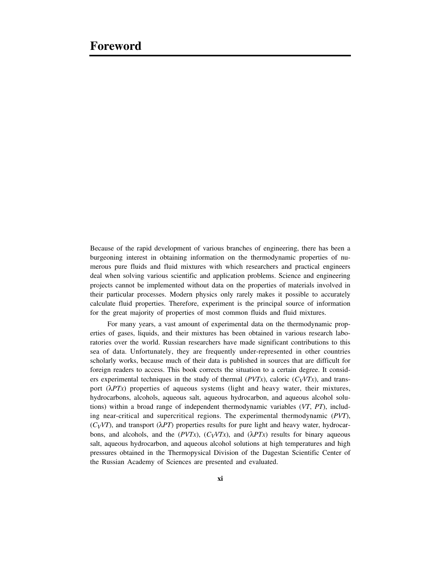Because of the rapid development of various branches of engineering, there has been a burgeoning interest in obtaining information on the thermodynamic properties of numerous pure fluids and fluid mixtures with which researchers and practical engineers deal when solving various scientific and application problems. Science and engineering projects cannot be implemented without data on the properties of materials involved in their particular processes. Modern physics only rarely makes it possible to accurately calculate fluid properties. Therefore, experiment is the principal source of information for the great majority of properties of most common fluids and fluid mixtures.

For many years, a vast amount of experimental data on the thermodynamic properties of gases, liquids, and their mixtures has been obtained in various research laboratories over the world. Russian researchers have made significant contributions to this sea of data. Unfortunately, they are frequently under-represented in other countries scholarly works, because much of their data is published in sources that are difficult for foreign readers to access. This book corrects the situation to a certain degree. It considers experimental techniques in the study of thermal ( $PVTx$ ), caloric ( $C_VVTx$ ), and transport (λ*PTx*) properties of aqueous systems (light and heavy water, their mixtures, hydrocarbons, alcohols, aqueous salt, aqueous hydrocarbon, and aqueous alcohol solutions) within a broad range of independent thermodynamic variables (*VT*, *PT*), including near-critical and supercritical regions. The experimental thermodynamic (*PVT*),  $(C_VVT)$ , and transport  $(\lambda PT)$  properties results for pure light and heavy water, hydrocarbons, and alcohols, and the  $(PVTx)$ ,  $(C_VVTx)$ , and  $(\lambda PTx)$  results for binary aqueous salt, aqueous hydrocarbon, and aqueous alcohol solutions at high temperatures and high pressures obtained in the Thermopysical Division of the Dagestan Scientific Center of the Russian Academy of Sciences are presented and evaluated.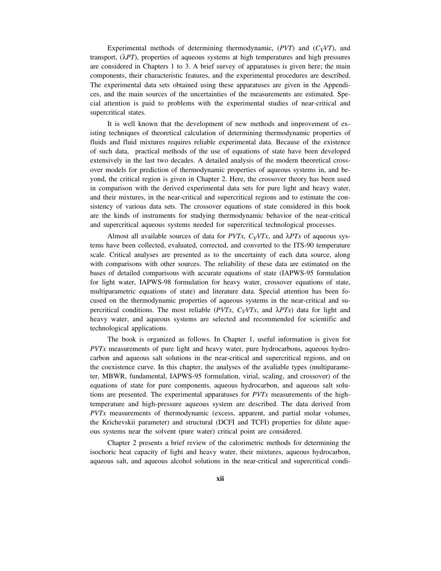Experimental methods of determining thermodynamic,  $(PVT)$  and  $(C_VVT)$ , and transport, (λ*PT*), properties of aqueous systems at high temperatures and high pressures are considered in Chapters 1 to 3. A brief survey of apparatuses is given here; the main components, their characteristic features, and the experimental procedures are described. The experimental data sets obtained using these apparatuses are given in the Appendices, and the main sources of the uncertainties of the measurements are estimated. Special attention is paid to problems with the experimental studies of near-critical and supercritical states.

It is well known that the development of new methods and improvement of existing techniques of theoretical calculation of determining thermodynamic properties of fluids and fluid mixtures requires reliable experimental data. Because of the existence of such data, practical methods of the use of equations of state have been developed extensively in the last two decades. A detailed analysis of the modern theoretical crossover models for prediction of thermodynamic properties of aqueous systems in, and beyond, the critical region is given in Chapter 2. Here, the crossover theory has been used in comparison with the derived experimental data sets for pure light and heavy water, and their mixtures, in the near-critical and supercritical regions and to estimate the consistency of various data sets. The crossover equations of state considered in this book are the kinds of instruments for studying thermodynamic behavior of the near-critical and supercritical aqueous systems needed for supercritical technological processes.

Almost all available sources of data for *PVTx*,  $C_VVTx$ , and  $\lambda PTx$  of aqueous systems have been collected, evaluated, corrected, and converted to the ITS-90 temperature scale. Critical analyses are presented as to the uncertainty of each data source, along with comparisons with other sources. The reliability of these data are estimated on the bases of detailed comparisons with accurate equations of state (IAPWS-95 formulation for light water, IAPWS-98 formulation for heavy water, crossover equations of state, multiparametric equations of state) and literature data. Special attention has been focused on the thermodynamic properties of aqueous systems in the near-critical and supercritical conditions. The most reliable ( $PVTx$ ,  $C_VVTx$ , and  $\lambda PTx$ ) data for light and heavy water, and aqueous systems are selected and recommended for scientific and technological applications.

The book is organized as follows. In Chapter 1, useful information is given for *PVTx* measurements of pure light and heavy water, pure hydrocarbons, aqueous hydrocarbon and aqueous salt solutions in the near-critical and supercritical regions, and on the coexistence curve. In this chapter, the analyses of the avaliable types (multiparameter, MBWR, fundamental, IAPWS-95 formulation, virial, scaling, and crossover) of the equations of state for pure components, aqueous hydrocarbon, and aqueous salt solutions are presented. The experimental apparatuses for *PVTx* measurements of the hightemperature and high-pressure aqueous system are described. The data derived from *PVTx* measurements of thermodynamic (excess, apparent, and partial molar volumes, the Krichevskii parameter) and structural (DCFI and TCFI) properties for dilute aqueous systems near the solvent (pure water) critical point are considered.

Chapter 2 presents a brief review of the calorimetric methods for determining the isochoric heat capacity of light and heavy water, their mixtures, aqueous hydrocarbon, aqueous salt, and aqueous alcohol solutions in the near-critical and supercritical condi